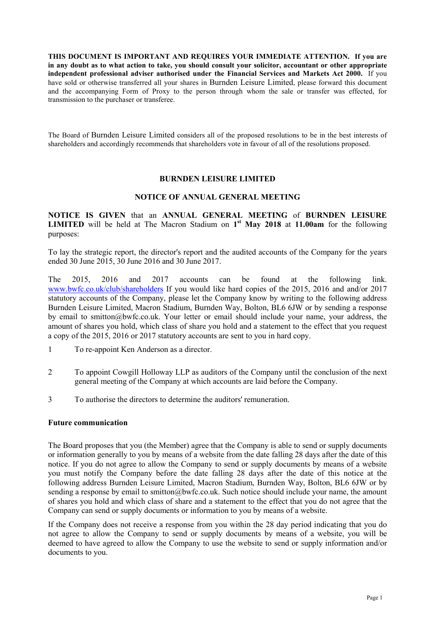**THIS DOCUMENT IS IMPORTANT AND REQUIRES YOUR IMMEDIATE ATTENTION. If you are in any doubt as to what action to take, you should consult your solicitor, accountant or other appropriate independent professional adviser authorised under the Financial Services and Markets Act 2000.** If you have sold or otherwise transferred all your shares in Burnden Leisure Limited, please forward this document and the accompanying Form of Proxy to the person through whom the sale or transfer was effected, for transmission to the purchaser or transferee.

The Board of Burnden Leisure Limited considers all of the proposed resolutions to be in the best interests of shareholders and accordingly recommends that shareholders vote in favour of all of the resolutions proposed.

## **BURNDEN LEISURE LIMITED**

#### **NOTICE OF ANNUAL GENERAL MEETING**

**NOTICE IS GIVEN** that an **ANNUAL GENERAL MEETING** of **BURNDEN LEISURE LIMITED** will be held at The Macron Stadium on **1 st May 2018** at **11.00am** for the following purposes:

To lay the strategic report, the director's report and the audited accounts of the Company for the years ended 30 June 2015, 30 June 2016 and 30 June 2017.

The 2015, 2016 and 2017 accounts can be found at the following link. www.bwfc.co.uk/club/shareholders If you would like hard copies of the 2015, 2016 and and/or 2017 statutory accounts of the Company, please let the Company know by writing to the following address Burnden Leisure Limited, Macron Stadium, Burnden Way, Bolton, BL6 6JW or by sending a response by email to smitton@bwfc.co.uk. Your letter or email should include your name, your address, the amount of shares you hold, which class of share you hold and a statement to the effect that you request a copy of the 2015, 2016 or 2017 statutory accounts are sent to you in hard copy.

- 1 To re-appoint Ken Anderson as a director.
- 2 To appoint Cowgill Holloway LLP as auditors of the Company until the conclusion of the next general meeting of the Company at which accounts are laid before the Company.
- 3 To authorise the directors to determine the auditors' remuneration.

#### **Future communication**

The Board proposes that you (the Member) agree that the Company is able to send or supply documents or information generally to you by means of a website from the date falling 28 days after the date of this notice. If you do not agree to allow the Company to send or supply documents by means of a website you must notify the Company before the date falling 28 days after the date of this notice at the following address Burnden Leisure Limited, Macron Stadium, Burnden Way, Bolton, BL6 6JW or by sending a response by email to smitton@bwfc.co.uk. Such notice should include your name, the amount of shares you hold and which class of share and a statement to the effect that you do not agree that the Company can send or supply documents or information to you by means of a website.

If the Company does not receive a response from you within the 28 day period indicating that you do not agree to allow the Company to send or supply documents by means of a website, you will be deemed to have agreed to allow the Company to use the website to send or supply information and/or documents to you.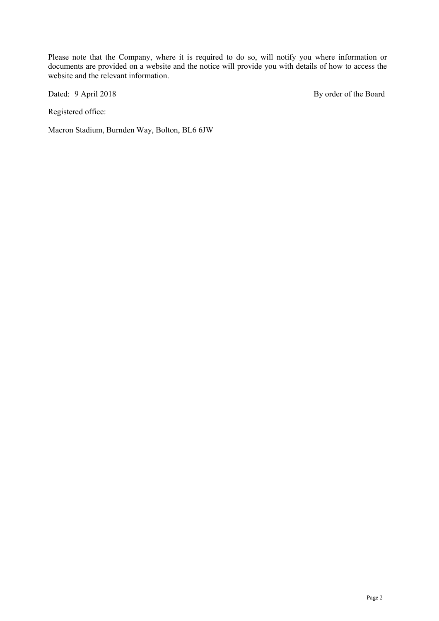Please note that the Company, where it is required to do so, will notify you where information or documents are provided on a website and the notice will provide you with details of how to access the website and the relevant information.

Registered office:

Macron Stadium, Burnden Way, Bolton, BL6 6JW

Dated: 9 April 2018 By order of the Board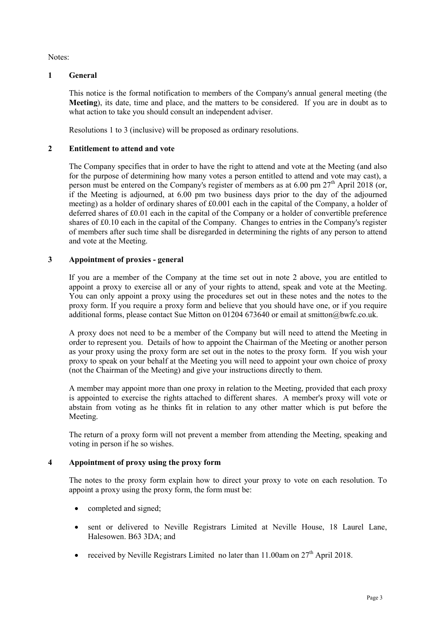Notes:

# **1 General**

This notice is the formal notification to members of the Company's annual general meeting (the **Meeting**), its date, time and place, and the matters to be considered. If you are in doubt as to what action to take you should consult an independent adviser.

Resolutions 1 to 3 (inclusive) will be proposed as ordinary resolutions.

# **2 Entitlement to attend and vote**

The Company specifies that in order to have the right to attend and vote at the Meeting (and also for the purpose of determining how many votes a person entitled to attend and vote may cast), a person must be entered on the Company's register of members as at  $6.00$  pm  $27<sup>th</sup>$  April 2018 (or, if the Meeting is adjourned, at 6.00 pm two business days prior to the day of the adjourned meeting) as a holder of ordinary shares of £0.001 each in the capital of the Company, a holder of deferred shares of £0.01 each in the capital of the Company or a holder of convertible preference shares of £0.10 each in the capital of the Company. Changes to entries in the Company's register of members after such time shall be disregarded in determining the rights of any person to attend and vote at the Meeting.

# **3 Appointment of proxies - general**

If you are a member of the Company at the time set out in note 2 above, you are entitled to appoint a proxy to exercise all or any of your rights to attend, speak and vote at the Meeting. You can only appoint a proxy using the procedures set out in these notes and the notes to the proxy form. If you require a proxy form and believe that you should have one, or if you require additional forms, please contact Sue Mitton on 01204 673640 or email at smitton@bwfc.co.uk.

A proxy does not need to be a member of the Company but will need to attend the Meeting in order to represent you. Details of how to appoint the Chairman of the Meeting or another person as your proxy using the proxy form are set out in the notes to the proxy form. If you wish your proxy to speak on your behalf at the Meeting you will need to appoint your own choice of proxy (not the Chairman of the Meeting) and give your instructions directly to them.

A member may appoint more than one proxy in relation to the Meeting, provided that each proxy is appointed to exercise the rights attached to different shares. A member's proxy will vote or abstain from voting as he thinks fit in relation to any other matter which is put before the Meeting.

The return of a proxy form will not prevent a member from attending the Meeting, speaking and voting in person if he so wishes.

# **4 Appointment of proxy using the proxy form**

The notes to the proxy form explain how to direct your proxy to vote on each resolution. To appoint a proxy using the proxy form, the form must be:

- completed and signed;
- sent or delivered to Neville Registrars Limited at Neville House, 18 Laurel Lane, Halesowen. B63 3DA; and
- received by Neville Registrars Limited no later than  $11.00$ am on  $27<sup>th</sup>$  April 2018.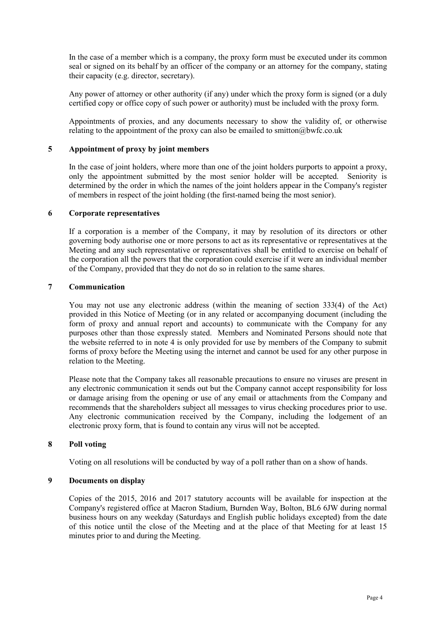In the case of a member which is a company, the proxy form must be executed under its common seal or signed on its behalf by an officer of the company or an attorney for the company, stating their capacity (e.g. director, secretary).

Any power of attorney or other authority (if any) under which the proxy form is signed (or a duly certified copy or office copy of such power or authority) must be included with the proxy form.

Appointments of proxies, and any documents necessary to show the validity of, or otherwise relating to the appointment of the proxy can also be emailed to smitton@bwfc.co.uk

## **5 Appointment of proxy by joint members**

In the case of joint holders, where more than one of the joint holders purports to appoint a proxy, only the appointment submitted by the most senior holder will be accepted. Seniority is determined by the order in which the names of the joint holders appear in the Company's register of members in respect of the joint holding (the first-named being the most senior).

#### **6 Corporate representatives**

If a corporation is a member of the Company, it may by resolution of its directors or other governing body authorise one or more persons to act as its representative or representatives at the Meeting and any such representative or representatives shall be entitled to exercise on behalf of the corporation all the powers that the corporation could exercise if it were an individual member of the Company, provided that they do not do so in relation to the same shares.

# **7 Communication**

You may not use any electronic address (within the meaning of section 333(4) of the Act) provided in this Notice of Meeting (or in any related or accompanying document (including the form of proxy and annual report and accounts) to communicate with the Company for any purposes other than those expressly stated. Members and Nominated Persons should note that the website referred to in note 4 is only provided for use by members of the Company to submit forms of proxy before the Meeting using the internet and cannot be used for any other purpose in relation to the Meeting.

Please note that the Company takes all reasonable precautions to ensure no viruses are present in any electronic communication it sends out but the Company cannot accept responsibility for loss or damage arising from the opening or use of any email or attachments from the Company and recommends that the shareholders subject all messages to virus checking procedures prior to use. Any electronic communication received by the Company, including the lodgement of an electronic proxy form, that is found to contain any virus will not be accepted.

## **8 Poll voting**

Voting on all resolutions will be conducted by way of a poll rather than on a show of hands.

# **9 Documents on display**

Copies of the 2015, 2016 and 2017 statutory accounts will be available for inspection at the Company's registered office at Macron Stadium, Burnden Way, Bolton, BL6 6JW during normal business hours on any weekday (Saturdays and English public holidays excepted) from the date of this notice until the close of the Meeting and at the place of that Meeting for at least 15 minutes prior to and during the Meeting.